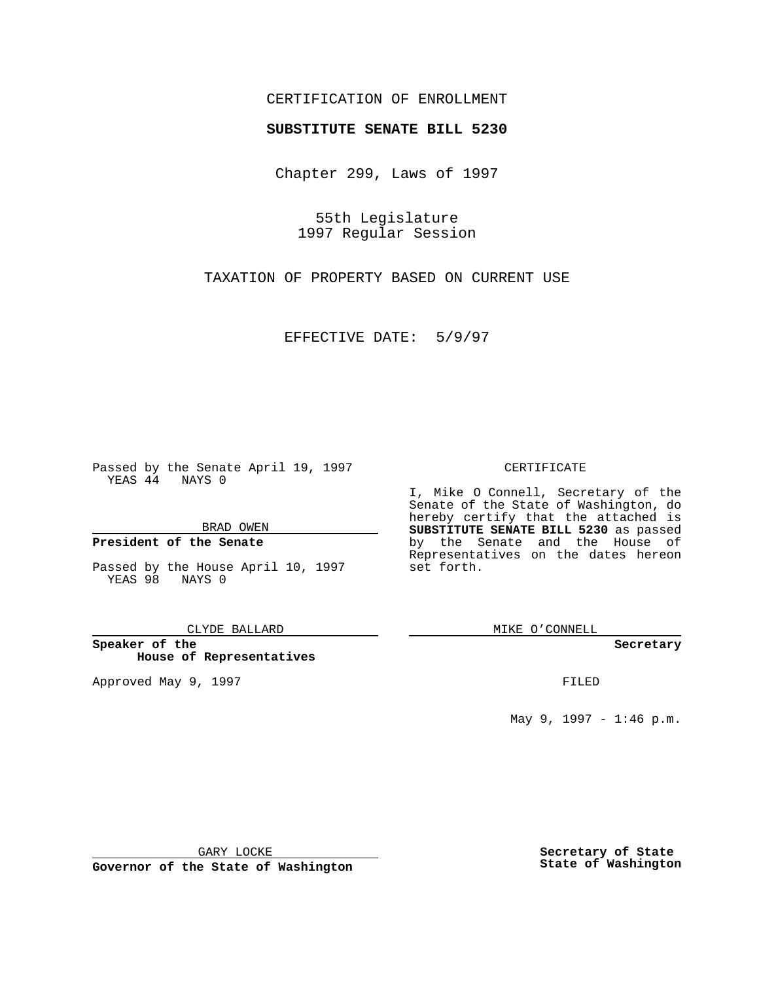## CERTIFICATION OF ENROLLMENT

# **SUBSTITUTE SENATE BILL 5230**

Chapter 299, Laws of 1997

55th Legislature 1997 Regular Session

TAXATION OF PROPERTY BASED ON CURRENT USE

EFFECTIVE DATE: 5/9/97

Passed by the Senate April 19, 1997 YEAS 44 NAYS 0

BRAD OWEN

## **President of the Senate**

Passed by the House April 10, 1997 YEAS 98 NAYS 0

CLYDE BALLARD

**Speaker of the House of Representatives**

Approved May 9, 1997 **FILED** 

### CERTIFICATE

I, Mike O Connell, Secretary of the Senate of the State of Washington, do hereby certify that the attached is **SUBSTITUTE SENATE BILL 5230** as passed by the Senate and the House of Representatives on the dates hereon set forth.

MIKE O'CONNELL

#### **Secretary**

May 9, 1997 - 1:46 p.m.

GARY LOCKE

**Governor of the State of Washington**

**Secretary of State State of Washington**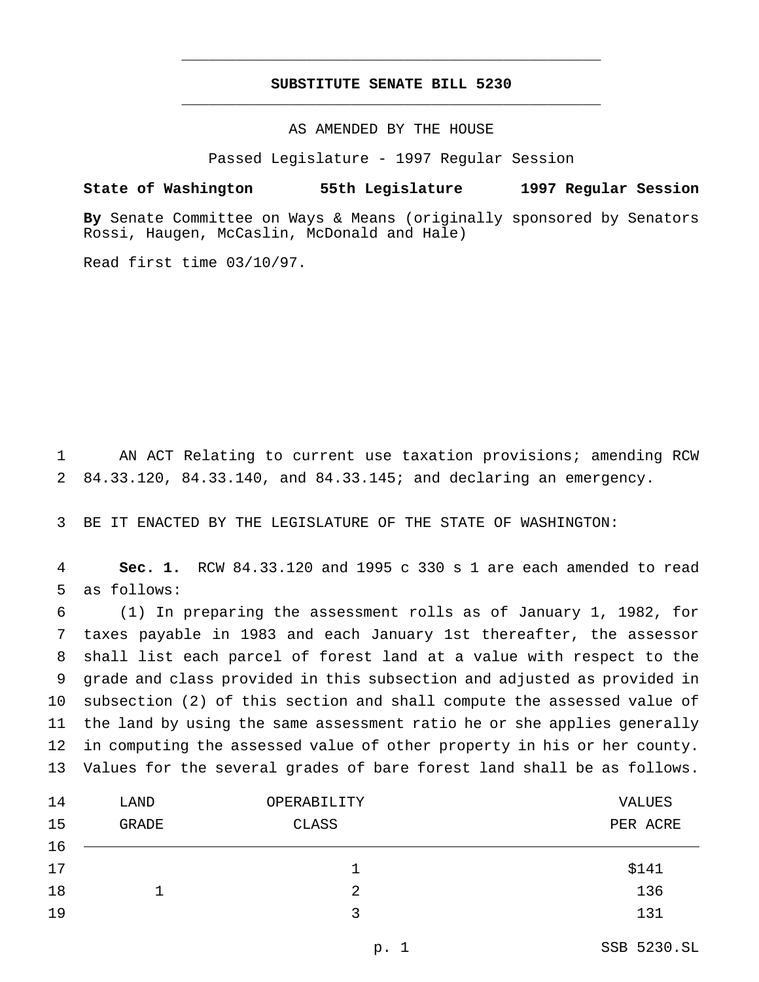## **SUBSTITUTE SENATE BILL 5230** \_\_\_\_\_\_\_\_\_\_\_\_\_\_\_\_\_\_\_\_\_\_\_\_\_\_\_\_\_\_\_\_\_\_\_\_\_\_\_\_\_\_\_\_\_\_\_

\_\_\_\_\_\_\_\_\_\_\_\_\_\_\_\_\_\_\_\_\_\_\_\_\_\_\_\_\_\_\_\_\_\_\_\_\_\_\_\_\_\_\_\_\_\_\_

## AS AMENDED BY THE HOUSE

Passed Legislature - 1997 Regular Session

### **State of Washington 55th Legislature 1997 Regular Session**

**By** Senate Committee on Ways & Means (originally sponsored by Senators Rossi, Haugen, McCaslin, McDonald and Hale)

Read first time 03/10/97.

 AN ACT Relating to current use taxation provisions; amending RCW 84.33.120, 84.33.140, and 84.33.145; and declaring an emergency.

BE IT ENACTED BY THE LEGISLATURE OF THE STATE OF WASHINGTON:

 **Sec. 1.** RCW 84.33.120 and 1995 c 330 s 1 are each amended to read as follows:

 (1) In preparing the assessment rolls as of January 1, 1982, for taxes payable in 1983 and each January 1st thereafter, the assessor shall list each parcel of forest land at a value with respect to the grade and class provided in this subsection and adjusted as provided in subsection (2) of this section and shall compute the assessed value of the land by using the same assessment ratio he or she applies generally in computing the assessed value of other property in his or her county. Values for the several grades of bare forest land shall be as follows.

| 14 | LAND         | OPERABILITY | VALUES   |
|----|--------------|-------------|----------|
| 15 | <b>GRADE</b> | CLASS       | PER ACRE |
| 16 |              |             |          |
| 17 |              |             | \$141    |
| 18 |              | 2           | 136      |
| 19 |              | 3           | 131      |
|    |              |             |          |

p. 1 SSB 5230.SL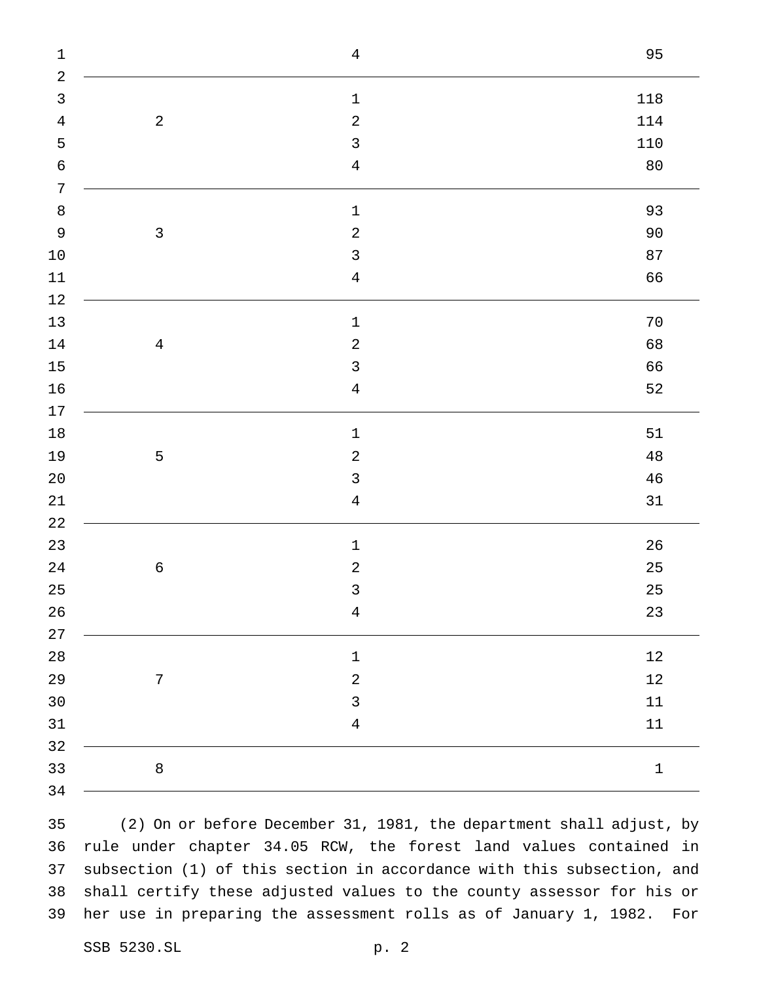| $\mathbf 1$    |                | $\overline{4}$ | 95          |
|----------------|----------------|----------------|-------------|
| $\sqrt{2}$     |                |                |             |
| $\mathsf{3}$   |                | $\mathbf 1$    | 118         |
| $\overline{4}$ | $\overline{a}$ | $\overline{a}$ | 114         |
| 5              |                | $\mathsf{3}$   | $110$       |
| $\epsilon$     |                | $\overline{4}$ | $8\,0$      |
| $\sqrt{ }$     |                |                |             |
| $\,8\,$        |                | $\mathbf 1$    | 93          |
| $\mathsf 9$    | $\mathsf{3}$   | $\overline{a}$ | $90$        |
| $10\,$         |                | $\mathsf{3}$   | 87          |
| $11\,$         |                | $\overline{4}$ | 66          |
| $12\,$         |                |                |             |
| $13\,$         |                | $\mathbf 1$    | $70\,$      |
| $14\,$         | $\overline{4}$ | $\sqrt{2}$     | 68          |
| $15\,$         |                | $\mathsf{3}$   | 66          |
| $16$           |                | $\overline{4}$ | 52          |
| $17$           |                |                |             |
| $18\,$         |                | $\mathbf 1$    | 51          |
| 19             | 5              | $\overline{a}$ | $4\,8$      |
| $20\,$         |                | $\mathsf{3}$   | $4\sqrt{6}$ |
| $21\,$         |                | $\overline{4}$ | $31\,$      |
| $2\sqrt{2}$    |                |                |             |
| 23             |                | $\mathbf 1$    | $26\,$      |
| $2\sqrt{4}$    | $\epsilon$     | $\sqrt{2}$     | 25          |
| $25\,$         |                | $\mathsf{3}$   | $25\,$      |
| $26\,$         |                | $\bf 4$        | $2\sqrt{3}$ |
| $2\,7$         |                |                |             |
| $2\,8$         |                | $\mathbf 1$    | $12\,$      |
| 29             | $\sqrt{ }$     | $\sqrt{2}$     | $12\,$      |
| 30             |                | $\mathsf{3}$   | $11\,$      |
| 31             |                | $\,4$          | $11\,$      |
| 32             |                |                |             |
| $33$           | $\,8\,$        |                | $\mathbf 1$ |
| 34             |                |                |             |

 (2) On or before December 31, 1981, the department shall adjust, by rule under chapter 34.05 RCW, the forest land values contained in subsection (1) of this section in accordance with this subsection, and shall certify these adjusted values to the county assessor for his or her use in preparing the assessment rolls as of January 1, 1982. For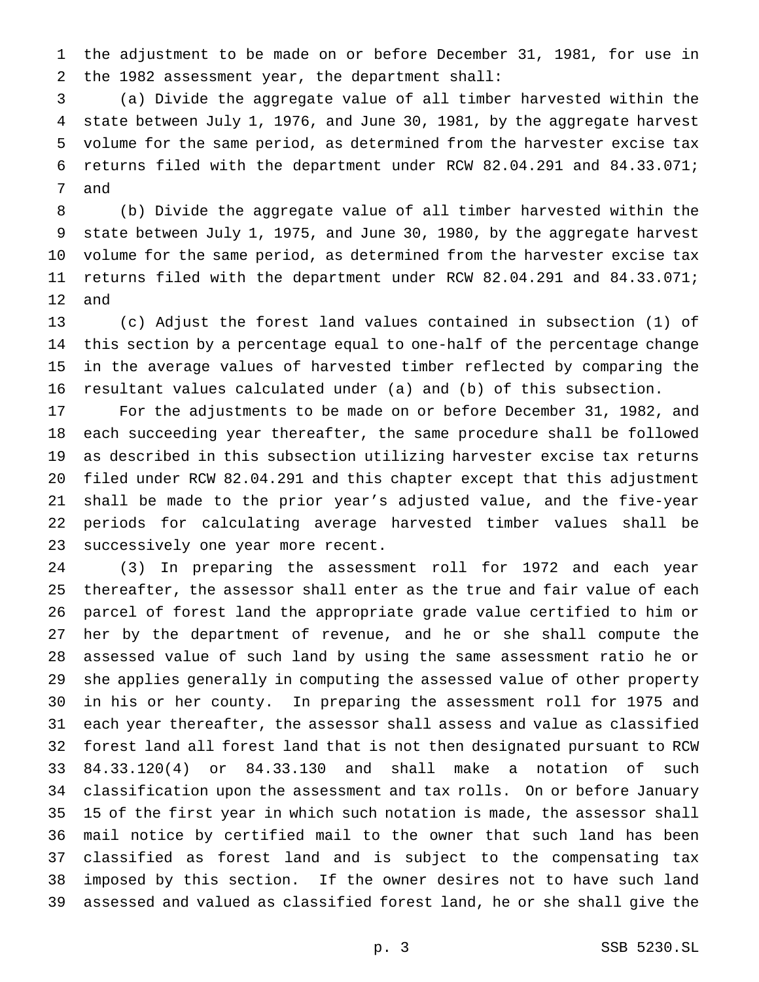the adjustment to be made on or before December 31, 1981, for use in the 1982 assessment year, the department shall:

 (a) Divide the aggregate value of all timber harvested within the state between July 1, 1976, and June 30, 1981, by the aggregate harvest volume for the same period, as determined from the harvester excise tax returns filed with the department under RCW 82.04.291 and 84.33.071; and

 (b) Divide the aggregate value of all timber harvested within the state between July 1, 1975, and June 30, 1980, by the aggregate harvest volume for the same period, as determined from the harvester excise tax returns filed with the department under RCW 82.04.291 and 84.33.071; and

 (c) Adjust the forest land values contained in subsection (1) of this section by a percentage equal to one-half of the percentage change in the average values of harvested timber reflected by comparing the resultant values calculated under (a) and (b) of this subsection.

 For the adjustments to be made on or before December 31, 1982, and each succeeding year thereafter, the same procedure shall be followed as described in this subsection utilizing harvester excise tax returns filed under RCW 82.04.291 and this chapter except that this adjustment shall be made to the prior year's adjusted value, and the five-year periods for calculating average harvested timber values shall be successively one year more recent.

 (3) In preparing the assessment roll for 1972 and each year thereafter, the assessor shall enter as the true and fair value of each parcel of forest land the appropriate grade value certified to him or her by the department of revenue, and he or she shall compute the assessed value of such land by using the same assessment ratio he or she applies generally in computing the assessed value of other property in his or her county. In preparing the assessment roll for 1975 and each year thereafter, the assessor shall assess and value as classified forest land all forest land that is not then designated pursuant to RCW 84.33.120(4) or 84.33.130 and shall make a notation of such classification upon the assessment and tax rolls. On or before January 15 of the first year in which such notation is made, the assessor shall mail notice by certified mail to the owner that such land has been classified as forest land and is subject to the compensating tax imposed by this section. If the owner desires not to have such land assessed and valued as classified forest land, he or she shall give the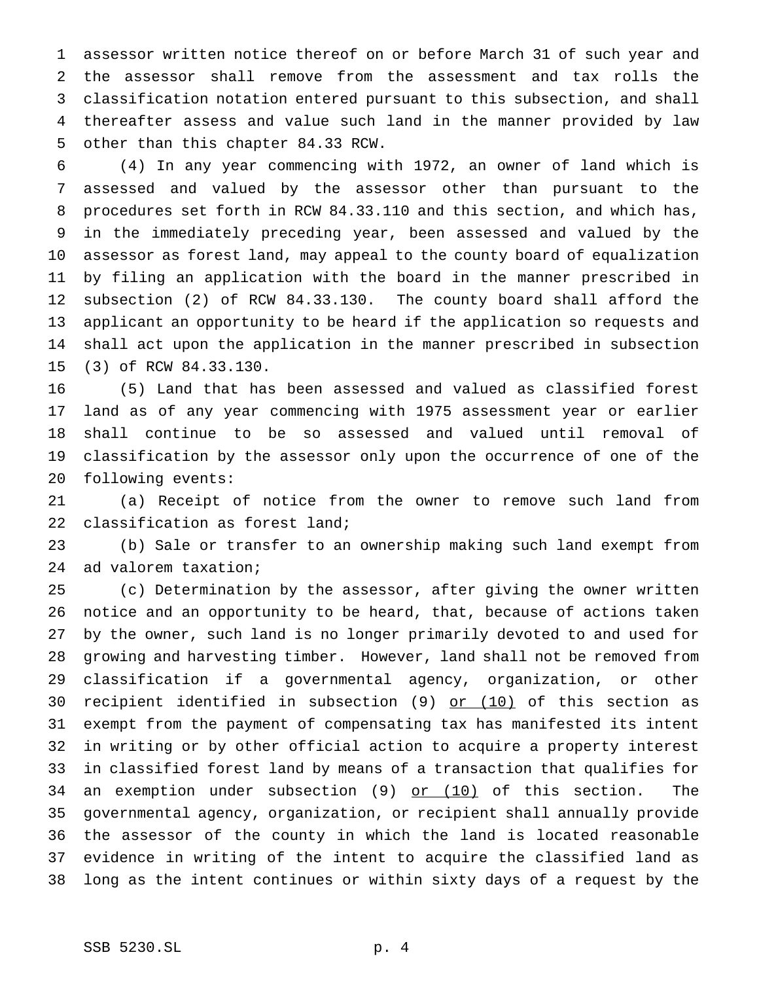assessor written notice thereof on or before March 31 of such year and the assessor shall remove from the assessment and tax rolls the classification notation entered pursuant to this subsection, and shall thereafter assess and value such land in the manner provided by law other than this chapter 84.33 RCW.

 (4) In any year commencing with 1972, an owner of land which is assessed and valued by the assessor other than pursuant to the procedures set forth in RCW 84.33.110 and this section, and which has, in the immediately preceding year, been assessed and valued by the assessor as forest land, may appeal to the county board of equalization by filing an application with the board in the manner prescribed in subsection (2) of RCW 84.33.130. The county board shall afford the applicant an opportunity to be heard if the application so requests and shall act upon the application in the manner prescribed in subsection (3) of RCW 84.33.130.

 (5) Land that has been assessed and valued as classified forest land as of any year commencing with 1975 assessment year or earlier shall continue to be so assessed and valued until removal of classification by the assessor only upon the occurrence of one of the following events:

 (a) Receipt of notice from the owner to remove such land from classification as forest land;

 (b) Sale or transfer to an ownership making such land exempt from ad valorem taxation;

 (c) Determination by the assessor, after giving the owner written notice and an opportunity to be heard, that, because of actions taken by the owner, such land is no longer primarily devoted to and used for growing and harvesting timber. However, land shall not be removed from classification if a governmental agency, organization, or other 30 recipient identified in subsection (9) or (10) of this section as exempt from the payment of compensating tax has manifested its intent in writing or by other official action to acquire a property interest in classified forest land by means of a transaction that qualifies for 34 an exemption under subsection (9) or (10) of this section. The governmental agency, organization, or recipient shall annually provide the assessor of the county in which the land is located reasonable evidence in writing of the intent to acquire the classified land as long as the intent continues or within sixty days of a request by the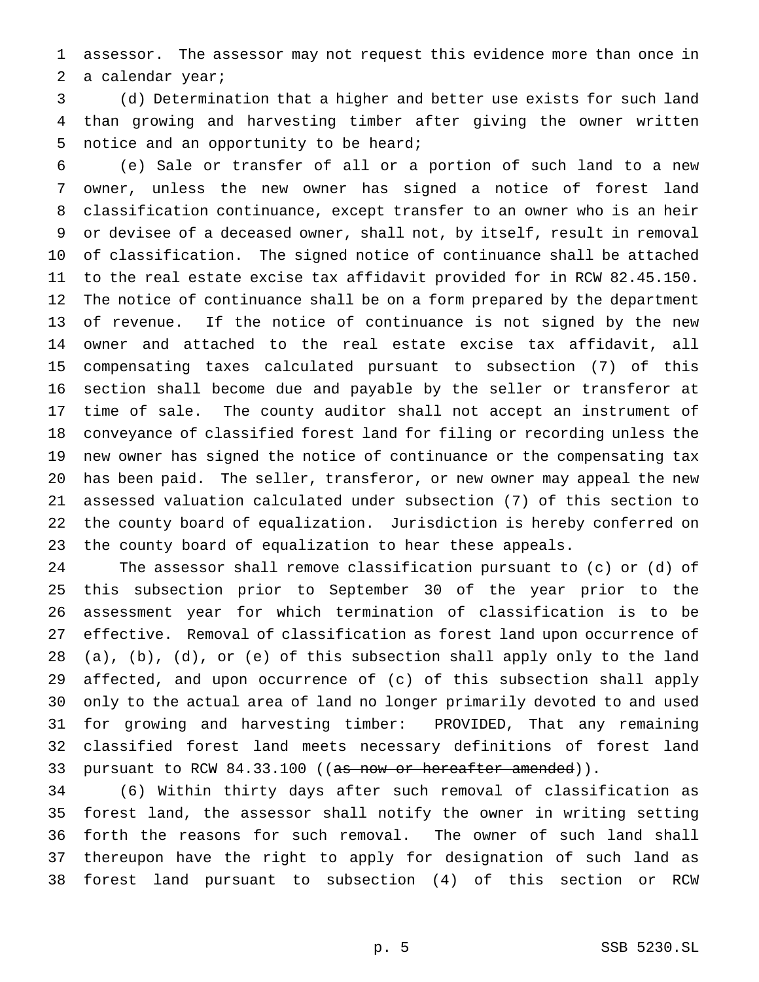assessor. The assessor may not request this evidence more than once in a calendar year;

 (d) Determination that a higher and better use exists for such land than growing and harvesting timber after giving the owner written notice and an opportunity to be heard;

 (e) Sale or transfer of all or a portion of such land to a new owner, unless the new owner has signed a notice of forest land classification continuance, except transfer to an owner who is an heir or devisee of a deceased owner, shall not, by itself, result in removal of classification. The signed notice of continuance shall be attached to the real estate excise tax affidavit provided for in RCW 82.45.150. The notice of continuance shall be on a form prepared by the department of revenue. If the notice of continuance is not signed by the new owner and attached to the real estate excise tax affidavit, all compensating taxes calculated pursuant to subsection (7) of this section shall become due and payable by the seller or transferor at time of sale. The county auditor shall not accept an instrument of conveyance of classified forest land for filing or recording unless the new owner has signed the notice of continuance or the compensating tax has been paid. The seller, transferor, or new owner may appeal the new assessed valuation calculated under subsection (7) of this section to the county board of equalization. Jurisdiction is hereby conferred on the county board of equalization to hear these appeals.

 The assessor shall remove classification pursuant to (c) or (d) of this subsection prior to September 30 of the year prior to the assessment year for which termination of classification is to be effective. Removal of classification as forest land upon occurrence of (a), (b), (d), or (e) of this subsection shall apply only to the land affected, and upon occurrence of (c) of this subsection shall apply only to the actual area of land no longer primarily devoted to and used for growing and harvesting timber: PROVIDED, That any remaining classified forest land meets necessary definitions of forest land 33 pursuant to RCW 84.33.100 ((as now or hereafter amended)).

 (6) Within thirty days after such removal of classification as forest land, the assessor shall notify the owner in writing setting forth the reasons for such removal. The owner of such land shall thereupon have the right to apply for designation of such land as forest land pursuant to subsection (4) of this section or RCW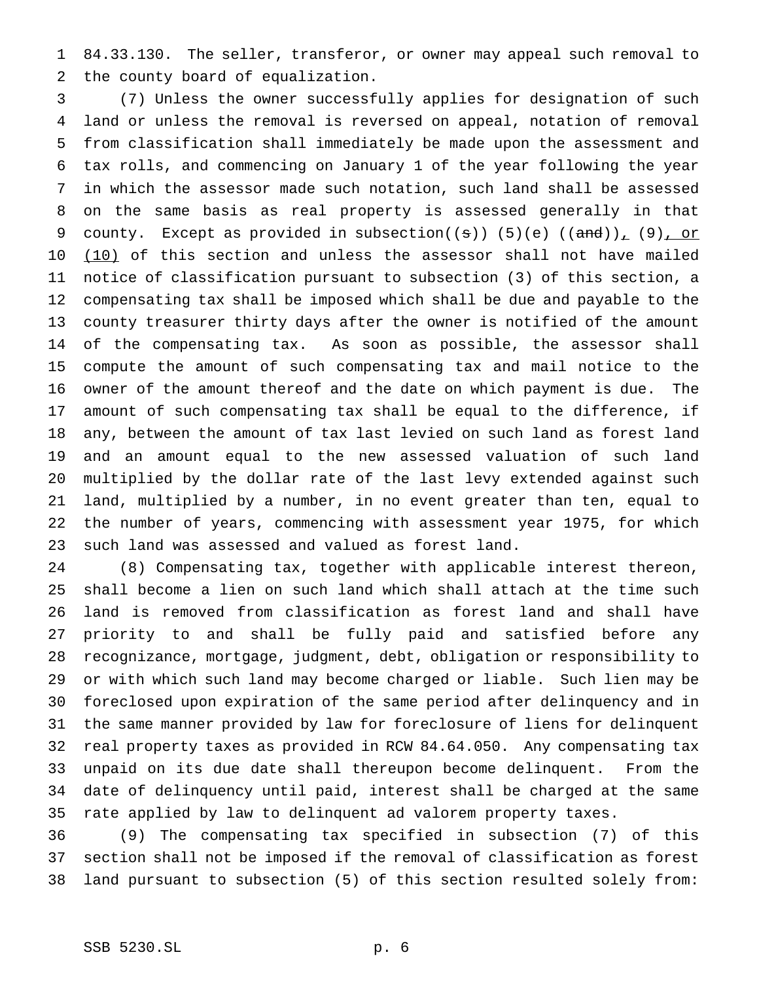84.33.130. The seller, transferor, or owner may appeal such removal to the county board of equalization.

 (7) Unless the owner successfully applies for designation of such land or unless the removal is reversed on appeal, notation of removal from classification shall immediately be made upon the assessment and tax rolls, and commencing on January 1 of the year following the year in which the assessor made such notation, such land shall be assessed on the same basis as real property is assessed generally in that 9 county. Except as provided in subsection( $(\sigma)$ ) (5)(e) ( $(\sigma)$ ), (9), or 10 (10) of this section and unless the assessor shall not have mailed notice of classification pursuant to subsection (3) of this section, a compensating tax shall be imposed which shall be due and payable to the county treasurer thirty days after the owner is notified of the amount of the compensating tax. As soon as possible, the assessor shall compute the amount of such compensating tax and mail notice to the owner of the amount thereof and the date on which payment is due. The amount of such compensating tax shall be equal to the difference, if any, between the amount of tax last levied on such land as forest land and an amount equal to the new assessed valuation of such land multiplied by the dollar rate of the last levy extended against such land, multiplied by a number, in no event greater than ten, equal to the number of years, commencing with assessment year 1975, for which such land was assessed and valued as forest land.

 (8) Compensating tax, together with applicable interest thereon, shall become a lien on such land which shall attach at the time such land is removed from classification as forest land and shall have priority to and shall be fully paid and satisfied before any recognizance, mortgage, judgment, debt, obligation or responsibility to or with which such land may become charged or liable. Such lien may be foreclosed upon expiration of the same period after delinquency and in the same manner provided by law for foreclosure of liens for delinquent real property taxes as provided in RCW 84.64.050. Any compensating tax unpaid on its due date shall thereupon become delinquent. From the date of delinquency until paid, interest shall be charged at the same rate applied by law to delinquent ad valorem property taxes.

 (9) The compensating tax specified in subsection (7) of this section shall not be imposed if the removal of classification as forest land pursuant to subsection (5) of this section resulted solely from: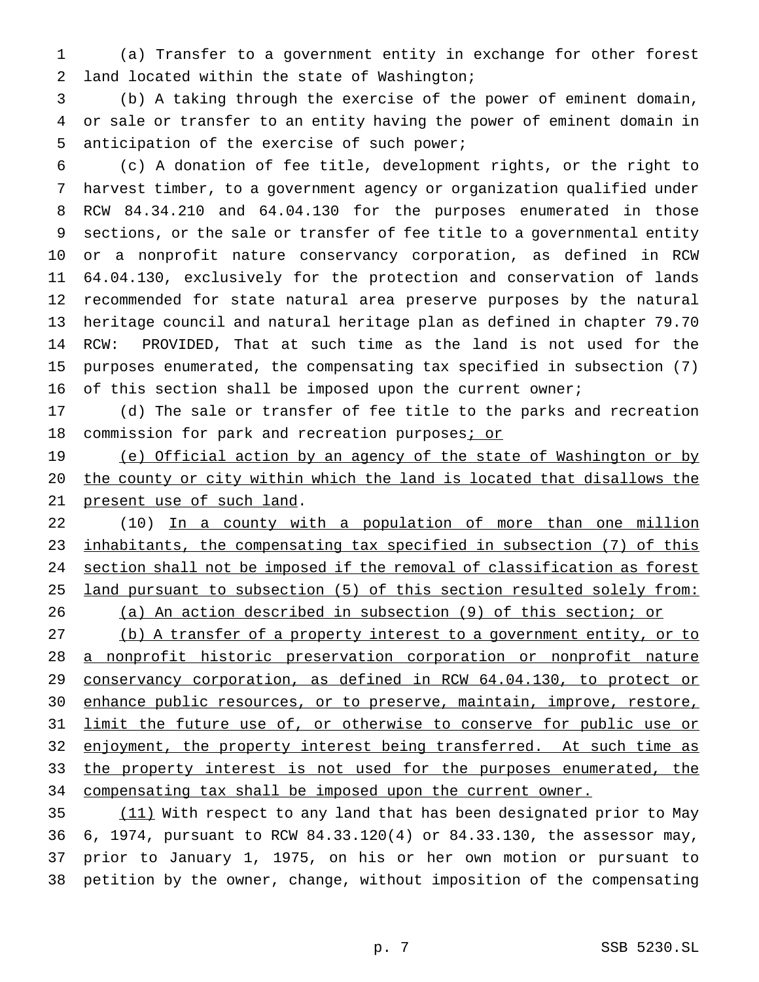(a) Transfer to a government entity in exchange for other forest land located within the state of Washington;

 (b) A taking through the exercise of the power of eminent domain, or sale or transfer to an entity having the power of eminent domain in anticipation of the exercise of such power;

 (c) A donation of fee title, development rights, or the right to harvest timber, to a government agency or organization qualified under RCW 84.34.210 and 64.04.130 for the purposes enumerated in those sections, or the sale or transfer of fee title to a governmental entity or a nonprofit nature conservancy corporation, as defined in RCW 64.04.130, exclusively for the protection and conservation of lands recommended for state natural area preserve purposes by the natural heritage council and natural heritage plan as defined in chapter 79.70 RCW: PROVIDED, That at such time as the land is not used for the purposes enumerated, the compensating tax specified in subsection (7) of this section shall be imposed upon the current owner;

 (d) The sale or transfer of fee title to the parks and recreation 18 commission for park and recreation purposes; or

 (e) Official action by an agency of the state of Washington or by the county or city within which the land is located that disallows the present use of such land.

22 (10) In a county with a population of more than one million inhabitants, the compensating tax specified in subsection (7) of this 24 section shall not be imposed if the removal of classification as forest land pursuant to subsection (5) of this section resulted solely from: (a) An action described in subsection (9) of this section; or

 (b) A transfer of a property interest to a government entity, or to a nonprofit historic preservation corporation or nonprofit nature 29 conservancy corporation, as defined in RCW 64.04.130, to protect or enhance public resources, or to preserve, maintain, improve, restore, 31 limit the future use of, or otherwise to conserve for public use or 32 enjoyment, the property interest being transferred. At such time as 33 the property interest is not used for the purposes enumerated, the 34 compensating tax shall be imposed upon the current owner.

 (11) With respect to any land that has been designated prior to May 6, 1974, pursuant to RCW 84.33.120(4) or 84.33.130, the assessor may, prior to January 1, 1975, on his or her own motion or pursuant to petition by the owner, change, without imposition of the compensating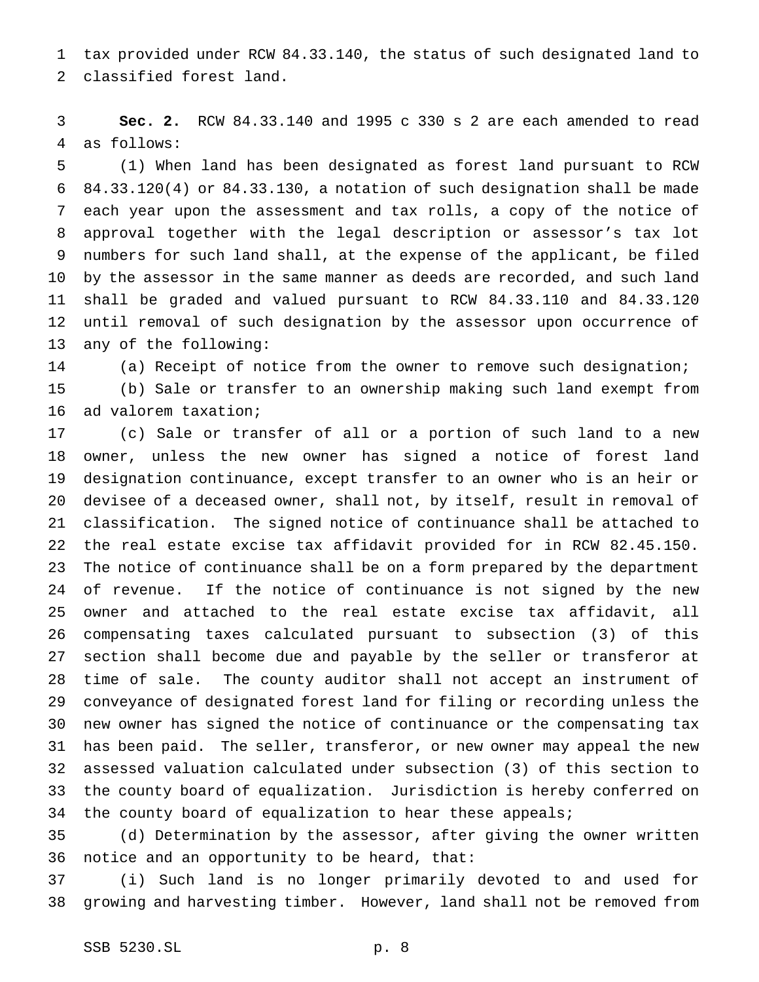tax provided under RCW 84.33.140, the status of such designated land to classified forest land.

 **Sec. 2.** RCW 84.33.140 and 1995 c 330 s 2 are each amended to read as follows:

 (1) When land has been designated as forest land pursuant to RCW 84.33.120(4) or 84.33.130, a notation of such designation shall be made each year upon the assessment and tax rolls, a copy of the notice of approval together with the legal description or assessor's tax lot numbers for such land shall, at the expense of the applicant, be filed by the assessor in the same manner as deeds are recorded, and such land shall be graded and valued pursuant to RCW 84.33.110 and 84.33.120 until removal of such designation by the assessor upon occurrence of any of the following:

(a) Receipt of notice from the owner to remove such designation;

 (b) Sale or transfer to an ownership making such land exempt from ad valorem taxation;

 (c) Sale or transfer of all or a portion of such land to a new owner, unless the new owner has signed a notice of forest land designation continuance, except transfer to an owner who is an heir or devisee of a deceased owner, shall not, by itself, result in removal of classification. The signed notice of continuance shall be attached to the real estate excise tax affidavit provided for in RCW 82.45.150. The notice of continuance shall be on a form prepared by the department of revenue. If the notice of continuance is not signed by the new owner and attached to the real estate excise tax affidavit, all compensating taxes calculated pursuant to subsection (3) of this section shall become due and payable by the seller or transferor at time of sale. The county auditor shall not accept an instrument of conveyance of designated forest land for filing or recording unless the new owner has signed the notice of continuance or the compensating tax has been paid. The seller, transferor, or new owner may appeal the new assessed valuation calculated under subsection (3) of this section to the county board of equalization. Jurisdiction is hereby conferred on the county board of equalization to hear these appeals;

 (d) Determination by the assessor, after giving the owner written notice and an opportunity to be heard, that:

 (i) Such land is no longer primarily devoted to and used for growing and harvesting timber. However, land shall not be removed from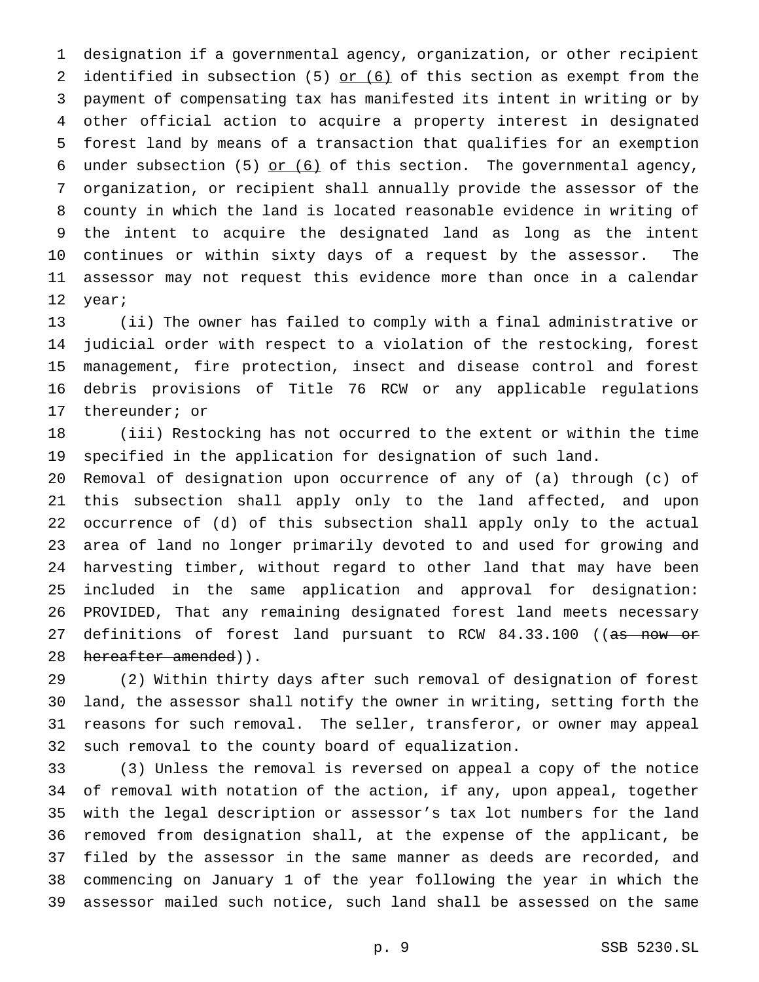designation if a governmental agency, organization, or other recipient 2 identified in subsection  $(5)$  or  $(6)$  of this section as exempt from the payment of compensating tax has manifested its intent in writing or by other official action to acquire a property interest in designated forest land by means of a transaction that qualifies for an exemption 6 under subsection (5) or  $(6)$  of this section. The governmental agency, organization, or recipient shall annually provide the assessor of the county in which the land is located reasonable evidence in writing of the intent to acquire the designated land as long as the intent continues or within sixty days of a request by the assessor. The assessor may not request this evidence more than once in a calendar year;

 (ii) The owner has failed to comply with a final administrative or judicial order with respect to a violation of the restocking, forest management, fire protection, insect and disease control and forest debris provisions of Title 76 RCW or any applicable regulations thereunder; or

 (iii) Restocking has not occurred to the extent or within the time specified in the application for designation of such land.

 Removal of designation upon occurrence of any of (a) through (c) of this subsection shall apply only to the land affected, and upon occurrence of (d) of this subsection shall apply only to the actual area of land no longer primarily devoted to and used for growing and harvesting timber, without regard to other land that may have been included in the same application and approval for designation: PROVIDED, That any remaining designated forest land meets necessary 27 definitions of forest land pursuant to RCW 84.33.100 ((as now or 28 hereafter amended)).

 (2) Within thirty days after such removal of designation of forest land, the assessor shall notify the owner in writing, setting forth the reasons for such removal. The seller, transferor, or owner may appeal such removal to the county board of equalization.

 (3) Unless the removal is reversed on appeal a copy of the notice of removal with notation of the action, if any, upon appeal, together with the legal description or assessor's tax lot numbers for the land removed from designation shall, at the expense of the applicant, be filed by the assessor in the same manner as deeds are recorded, and commencing on January 1 of the year following the year in which the assessor mailed such notice, such land shall be assessed on the same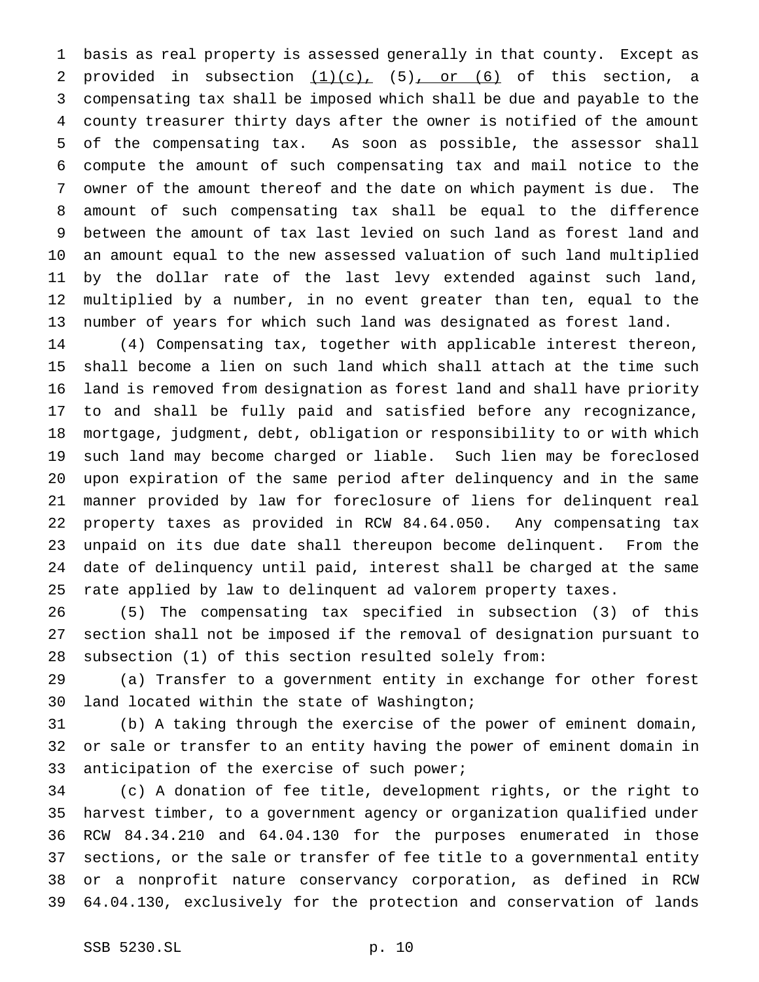basis as real property is assessed generally in that county. Except as 2 provided in subsection  $(1)(c)$ ,  $(5)$ , or  $(6)$  of this section, a compensating tax shall be imposed which shall be due and payable to the county treasurer thirty days after the owner is notified of the amount of the compensating tax. As soon as possible, the assessor shall compute the amount of such compensating tax and mail notice to the owner of the amount thereof and the date on which payment is due. The amount of such compensating tax shall be equal to the difference between the amount of tax last levied on such land as forest land and an amount equal to the new assessed valuation of such land multiplied by the dollar rate of the last levy extended against such land, multiplied by a number, in no event greater than ten, equal to the number of years for which such land was designated as forest land.

 (4) Compensating tax, together with applicable interest thereon, shall become a lien on such land which shall attach at the time such land is removed from designation as forest land and shall have priority to and shall be fully paid and satisfied before any recognizance, mortgage, judgment, debt, obligation or responsibility to or with which such land may become charged or liable. Such lien may be foreclosed upon expiration of the same period after delinquency and in the same manner provided by law for foreclosure of liens for delinquent real property taxes as provided in RCW 84.64.050. Any compensating tax unpaid on its due date shall thereupon become delinquent. From the date of delinquency until paid, interest shall be charged at the same rate applied by law to delinquent ad valorem property taxes.

 (5) The compensating tax specified in subsection (3) of this section shall not be imposed if the removal of designation pursuant to subsection (1) of this section resulted solely from:

 (a) Transfer to a government entity in exchange for other forest land located within the state of Washington;

 (b) A taking through the exercise of the power of eminent domain, or sale or transfer to an entity having the power of eminent domain in 33 anticipation of the exercise of such power;

 (c) A donation of fee title, development rights, or the right to harvest timber, to a government agency or organization qualified under RCW 84.34.210 and 64.04.130 for the purposes enumerated in those sections, or the sale or transfer of fee title to a governmental entity or a nonprofit nature conservancy corporation, as defined in RCW 64.04.130, exclusively for the protection and conservation of lands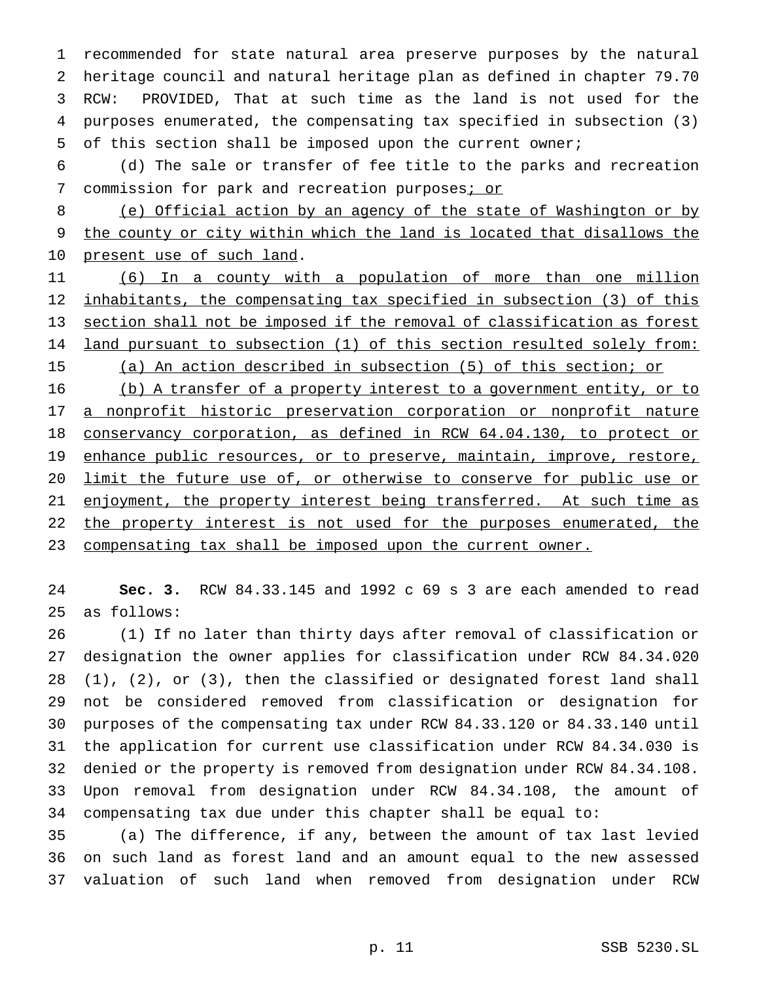recommended for state natural area preserve purposes by the natural heritage council and natural heritage plan as defined in chapter 79.70 RCW: PROVIDED, That at such time as the land is not used for the purposes enumerated, the compensating tax specified in subsection (3) of this section shall be imposed upon the current owner;

 (d) The sale or transfer of fee title to the parks and recreation 7 commission for park and recreation purposes; or

 (e) Official action by an agency of the state of Washington or by the county or city within which the land is located that disallows the 10 present use of such land.

 (6) In a county with a population of more than one million inhabitants, the compensating tax specified in subsection (3) of this section shall not be imposed if the removal of classification as forest 14 land pursuant to subsection (1) of this section resulted solely from: (a) An action described in subsection (5) of this section; or

 (b) A transfer of a property interest to a government entity, or to 17 a nonprofit historic preservation corporation or nonprofit nature conservancy corporation, as defined in RCW 64.04.130, to protect or 19 enhance public resources, or to preserve, maintain, improve, restore, 20 limit the future use of, or otherwise to conserve for public use or 21 enjoyment, the property interest being transferred. At such time as 22 the property interest is not used for the purposes enumerated, the compensating tax shall be imposed upon the current owner.

 **Sec. 3.** RCW 84.33.145 and 1992 c 69 s 3 are each amended to read as follows:

 (1) If no later than thirty days after removal of classification or designation the owner applies for classification under RCW 84.34.020 (1), (2), or (3), then the classified or designated forest land shall not be considered removed from classification or designation for purposes of the compensating tax under RCW 84.33.120 or 84.33.140 until the application for current use classification under RCW 84.34.030 is denied or the property is removed from designation under RCW 84.34.108. Upon removal from designation under RCW 84.34.108, the amount of compensating tax due under this chapter shall be equal to:

 (a) The difference, if any, between the amount of tax last levied on such land as forest land and an amount equal to the new assessed valuation of such land when removed from designation under RCW